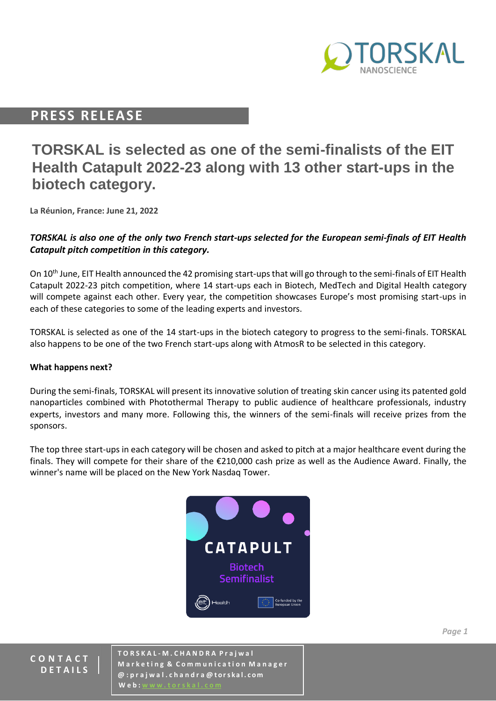

# **PRESS RELEASE**

# **TORSKAL is selected as one of the semi-finalists of the EIT Health Catapult 2022-23 along with 13 other start-ups in the biotech category.**

**La Réunion, France: June 21, 2022**

### *TORSKAL is also one of the only two French start-ups selected for the European semi-finals of EIT Health Catapult pitch competition in this category.*

On 10<sup>th</sup> June, EIT Health announced the 42 promising start-ups that will go through to the semi-finals of EIT Health Catapult 2022-23 pitch competition, where 14 start-ups each in Biotech, MedTech and Digital Health category will compete against each other. Every year, the competition showcases Europe's most promising start-ups in each of these categories to some of the leading experts and investors.

TORSKAL is selected as one of the 14 start-ups in the biotech category to progress to the semi-finals. TORSKAL also happens to be one of the two French start-ups along with AtmosR to be selected in this category.

#### **What happens next?**

During the semi-finals, TORSKAL will present its innovative solution of treating skin cancer using its patented gold nanoparticles combined with Photothermal Therapy to public audience of healthcare professionals, industry experts, investors and many more. Following this, the winners of the semi-finals will receive prizes from the sponsors.

The top three start-ups in each category will be chosen and asked to pitch at a major healthcare event during the finals. They will compete for their share of the €210,000 cash prize as well as the Audience Award. Finally, the winner's name will be placed on the New York Nasdaq Tower.



#### **C O N T A C T D E T A I L S**

**T O R S K A L - M . C H A N D R A P r a j w a l M a r k e t i n g & C o m m u n i c a t i o n M a n a g e r @ : p r a j w a l . c h a n d r a @ t ors k a l . c om W** e **b** :